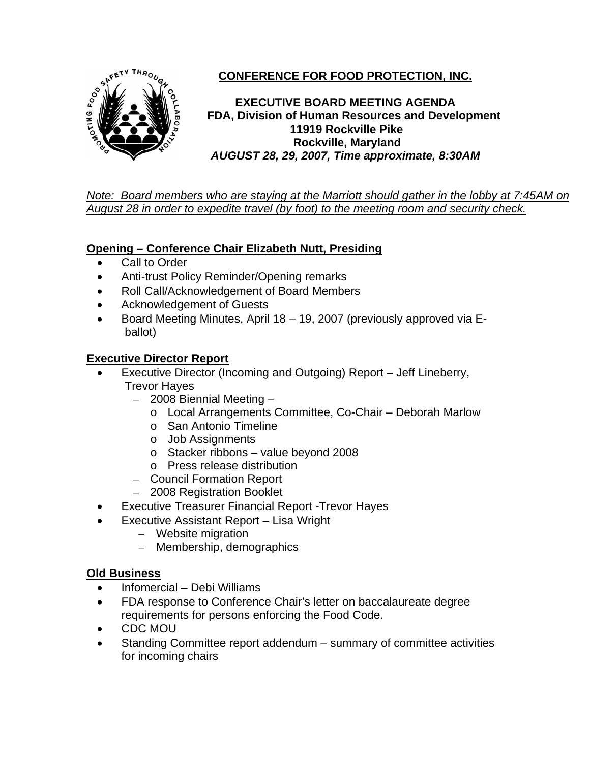

# **CONFERENCE FOR FOOD PROTECTION, INC.**

**EXECUTIVE BOARD MEETING AGENDA FDA, Division of Human Resources and Development 11919 Rockville Pike Rockville, Maryland**  *AUGUST 28, 29, 2007, Time approximate, 8:30AM*

*Note: Board members who are staying at the Marriott should gather in the lobby at 7:45AM on August 28 in order to expedite travel (by foot) to the meeting room and security check.*

## **Opening – Conference Chair Elizabeth Nutt, Presiding**

- Call to Order
- Anti-trust Policy Reminder/Opening remarks
- Roll Call/Acknowledgement of Board Members
- Acknowledgement of Guests
- Board Meeting Minutes, April 18 19, 2007 (previously approved via Eballot)

### **Executive Director Report**

- Executive Director (Incoming and Outgoing) Report Jeff Lineberry, Trevor Hayes
	- 2008 Biennial Meeting
		- o Local Arrangements Committee, Co-Chair Deborah Marlow
		- o San Antonio Timeline
		- o Job Assignments
		- o Stacker ribbons value beyond 2008
		- o Press release distribution
	- Council Formation Report
	- 2008 Registration Booklet
- Executive Treasurer Financial Report -Trevor Hayes
	- Executive Assistant Report Lisa Wright
		- Website migration
		- Membership, demographics

### **Old Business**

- Infomercial Debi Williams
- FDA response to Conference Chair's letter on baccalaureate degree requirements for persons enforcing the Food Code.
- CDC MOU
- Standing Committee report addendum summary of committee activities for incoming chairs